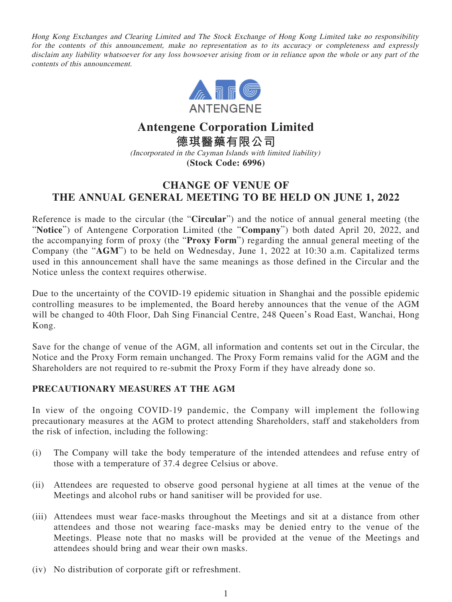Hong Kong Exchanges and Clearing Limited and The Stock Exchange of Hong Kong Limited take no responsibility for the contents of this announcement, make no representation as to its accuracy or completeness and expressly disclaim any liability whatsoever for any loss howsoever arising from or in reliance upon the whole or any part of the contents of this announcement.



## **Antengene Corporation Limited 德琪醫藥有限公司**

(Incorporated in the Cayman Islands with limited liability) **(Stock Code: 6996)**

## **CHANGE OF VENUE OF THE ANNUAL GENERAL MEETING TO BE HELD ON JUNE 1, 2022**

Reference is made to the circular (the "**Circular**") and the notice of annual general meeting (the "**Notice**") of Antengene Corporation Limited (the "**Company**") both dated April 20, 2022, and the accompanying form of proxy (the "**Proxy Form**") regarding the annual general meeting of the Company (the "**AGM**") to be held on Wednesday, June 1, 2022 at 10:30 a.m. Capitalized terms used in this announcement shall have the same meanings as those defined in the Circular and the Notice unless the context requires otherwise.

Due to the uncertainty of the COVID-19 epidemic situation in Shanghai and the possible epidemic controlling measures to be implemented, the Board hereby announces that the venue of the AGM will be changed to 40th Floor, Dah Sing Financial Centre, 248 Queen's Road East, Wanchai, Hong Kong.

Save for the change of venue of the AGM, all information and contents set out in the Circular, the Notice and the Proxy Form remain unchanged. The Proxy Form remains valid for the AGM and the Shareholders are not required to re-submit the Proxy Form if they have already done so.

## **PRECAUTIONARY MEASURES AT THE AGM**

In view of the ongoing COVID-19 pandemic, the Company will implement the following precautionary measures at the AGM to protect attending Shareholders, staff and stakeholders from the risk of infection, including the following:

- (i) The Company will take the body temperature of the intended attendees and refuse entry of those with a temperature of 37.4 degree Celsius or above.
- (ii) Attendees are requested to observe good personal hygiene at all times at the venue of the Meetings and alcohol rubs or hand sanitiser will be provided for use.
- (iii) Attendees must wear face-masks throughout the Meetings and sit at a distance from other attendees and those not wearing face-masks may be denied entry to the venue of the Meetings. Please note that no masks will be provided at the venue of the Meetings and attendees should bring and wear their own masks.
- (iv) No distribution of corporate gift or refreshment.